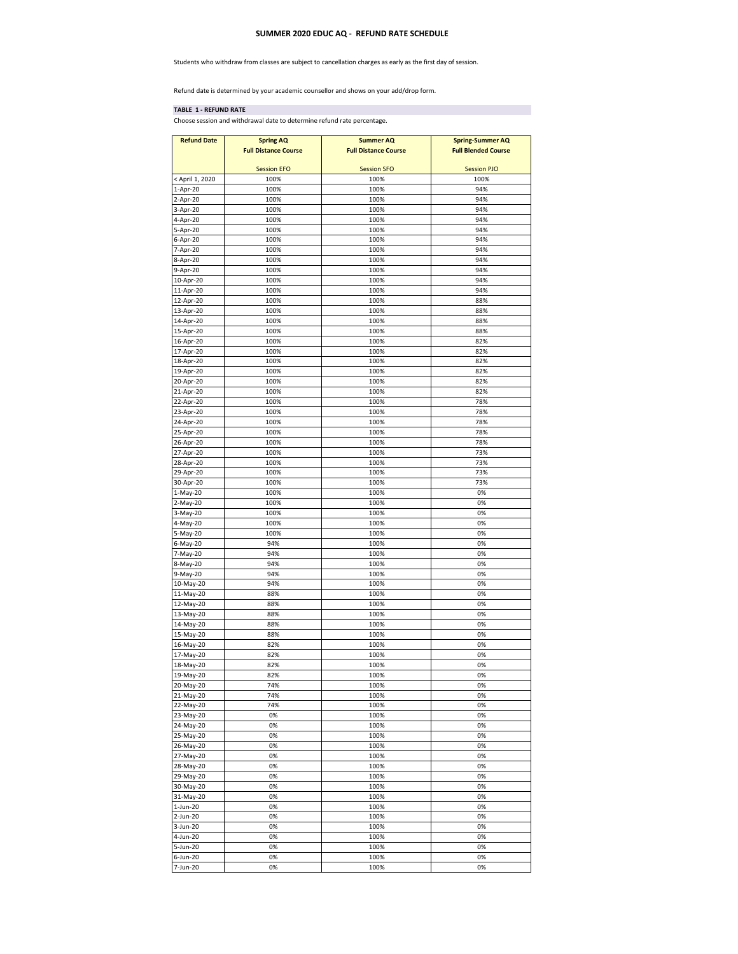## **SUMMER 2020 EDUC AQ - REFUND RATE SCHEDULE**

Students who withdraw from classes are subject to cancellation charges as early as the first day of session.

Refund date is determined by your academic counsellor and shows on your add/drop form.

## **TABLE 1 - REFUND RATE**

Choose session and withdrawal date to determine refund rate percentage.

| <b>Refund Date</b>     | <b>Spring AQ</b><br><b>Full Distance Course</b> | <b>Summer AQ</b><br><b>Full Distance Course</b> | <b>Spring-Summer AQ</b><br><b>Full Blended Course</b> |
|------------------------|-------------------------------------------------|-------------------------------------------------|-------------------------------------------------------|
|                        | <b>Session EFO</b>                              | <b>Session SFO</b>                              | <b>Session PJO</b>                                    |
| < April 1, 2020        | 100%                                            | 100%                                            | 100%                                                  |
| 1-Apr-20               | 100%                                            | 100%                                            | 94%                                                   |
| 2-Apr-20               | 100%                                            | 100%                                            | 94%                                                   |
| 3-Apr-20               | 100%                                            | 100%                                            | 94%                                                   |
| 4-Apr-20               | 100%                                            | 100%                                            | 94%                                                   |
| 5-Apr-20               | 100%                                            | 100%                                            | 94%                                                   |
| 6-Apr-20               | 100%                                            | 100%                                            | 94%                                                   |
| 7-Apr-20               | 100%                                            | 100%                                            | 94%                                                   |
| 8-Apr-20               | 100%                                            | 100%                                            | 94%                                                   |
| 9-Apr-20               | 100%                                            | 100%                                            | 94%                                                   |
| 10-Apr-20<br>11-Apr-20 | 100%<br>100%                                    | 100%<br>100%                                    | 94%<br>94%                                            |
| 12-Apr-20              | 100%                                            | 100%                                            | 88%                                                   |
| 13-Apr-20              | 100%                                            | 100%                                            | 88%                                                   |
| 14-Apr-20              | 100%                                            | 100%                                            | 88%                                                   |
| 15-Apr-20              | 100%                                            | 100%                                            | 88%                                                   |
| 16-Apr-20              | 100%                                            | 100%                                            | 82%                                                   |
| 17-Apr-20              | 100%                                            | 100%                                            | 82%                                                   |
| 18-Apr-20              | 100%                                            | 100%                                            | 82%                                                   |
| 19-Apr-20              | 100%                                            | 100%                                            | 82%                                                   |
| 20-Apr-20              | 100%                                            | 100%                                            | 82%                                                   |
| 21-Apr-20              | 100%                                            | 100%                                            | 82%                                                   |
| 22-Apr-20              | 100%                                            | 100%                                            | 78%                                                   |
| 23-Apr-20              | 100%                                            | 100%                                            | 78%                                                   |
| 24-Apr-20              | 100%                                            | 100%                                            | 78%                                                   |
| 25-Apr-20              | 100%                                            | 100%                                            | 78%                                                   |
| 26-Apr-20              | 100%                                            | 100%                                            | 78%                                                   |
| 27-Apr-20              | 100%                                            | 100%                                            | 73%                                                   |
| 28-Apr-20              | 100%                                            | 100%                                            | 73%                                                   |
| 29-Apr-20              | 100%                                            | 100%                                            | 73%                                                   |
| 30-Apr-20              | 100%                                            | 100%                                            | 73%                                                   |
| 1-May-20               | 100%                                            | 100%                                            | 0%                                                    |
| 2-May-20<br>3-May-20   | 100%<br>100%                                    | 100%<br>100%                                    | 0%<br>0%                                              |
| 4-May-20               | 100%                                            | 100%                                            | 0%                                                    |
| 5-May-20               | 100%                                            | 100%                                            | 0%                                                    |
| 6-May-20               | 94%                                             | 100%                                            | 0%                                                    |
| 7-May-20               | 94%                                             | 100%                                            | 0%                                                    |
| 8-May-20               | 94%                                             | 100%                                            | 0%                                                    |
| 9-May-20               | 94%                                             | 100%                                            | 0%                                                    |
| 10-May-20              | 94%                                             | 100%                                            | 0%                                                    |
| 11-May-20              | 88%                                             | 100%                                            | 0%                                                    |
| 12-May-20              | 88%                                             | 100%                                            | 0%                                                    |
| 13-May-20              | 88%                                             | 100%                                            | 0%                                                    |
| 14-May-20              | 88%                                             | 100%                                            | 0%                                                    |
| 15-May-20              | 88%                                             | 100%                                            | 0%                                                    |
| 16-May-20              | 82%                                             | 100%                                            | 0%                                                    |
| 17-May-20              | 82%                                             | 100%                                            | 0%                                                    |
| 18-May-20              | 82%                                             | 100%                                            | 0%                                                    |
| 19-May-20<br>20-May-20 | 82%<br>74%                                      | 100%<br>100%                                    | 0%<br>0%                                              |
|                        |                                                 |                                                 |                                                       |
| 21-May-20<br>22-May-20 | 74%<br>74%                                      | 100%<br>100%                                    | 0%<br>0%                                              |
| 23-May-20              | 0%                                              | 100%                                            | 0%                                                    |
| 24-May-20              | 0%                                              | 100%                                            | 0%                                                    |
| 25-May-20              | 0%                                              | 100%                                            | 0%                                                    |
| 26-May-20              | 0%                                              | 100%                                            | 0%                                                    |
| 27-May-20              | 0%                                              | 100%                                            | 0%                                                    |
| 28-May-20              | 0%                                              | 100%                                            | 0%                                                    |
| 29-May-20              | 0%                                              | 100%                                            | 0%                                                    |
| 30-May-20              | 0%                                              | 100%                                            | 0%                                                    |
| 31-May-20              | 0%                                              | 100%                                            | 0%                                                    |
| 1-Jun-20               | 0%                                              | 100%                                            | 0%                                                    |
| 2-Jun-20               | 0%                                              | 100%                                            | 0%                                                    |
| 3-Jun-20               | 0%                                              | 100%                                            | 0%                                                    |
| 4-Jun-20               | 0%                                              | 100%                                            | 0%                                                    |
| 5-Jun-20               | 0%                                              | 100%                                            | 0%                                                    |
| 6-Jun-20               | 0%                                              | 100%                                            | 0%                                                    |
| 7-Jun-20               | 0%                                              | 100%                                            | 0%                                                    |